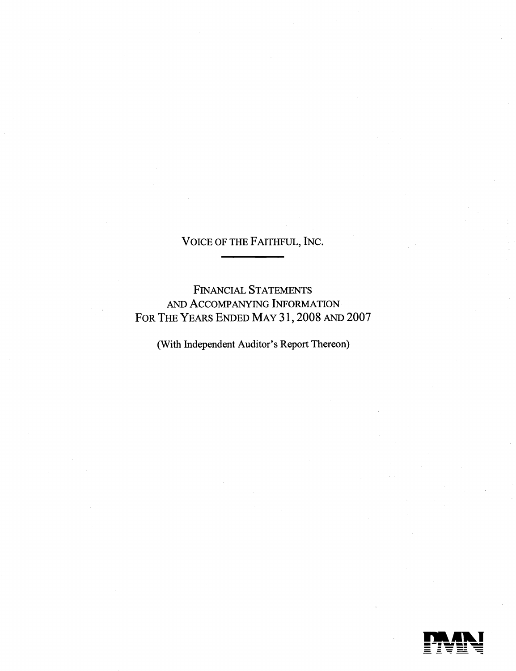FINANCIAL STATEMENTS AND ACCOMPANYING INFORMATION FOR THE YEARS ENDED MAY 31, 2008 AND 2007

(With Independent Auditor's Report Thereon)

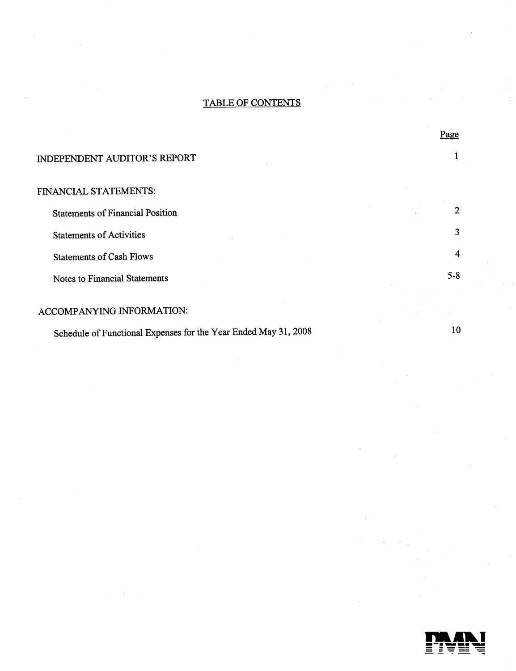# TABLE OF CONTENTS

#### INDEPENDENT AUDITOR'S REPORT

#### FINANCIAL STATEMENTS:

Statements of Financial Position Statements of Activities Statements of Cash Flows Notes to Financial Statements 2 3 4 5-8

# ACCOMPANYING INFORMATION:

Schedule of Functional Expenses for the Year Ended May 31, 2008

10

Page

1

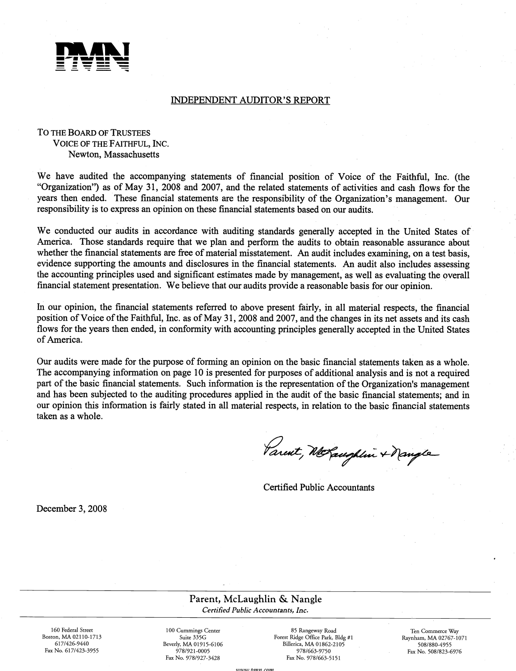

#### INDEPENDENT AUDITOR'S REPORT

#### To THE BoARD OF TRUSTEES VoIcE OF THE FAITHFUL, INC. Newton, Massachusetts

We have audited the accompanying statements of financial position of Voice of the Faithful, Inc. (the "Organization") as of May 31, 2008 and 2007, and the related statements of activities and cash flows for the years then ended. These financial statements are the responsibility of the Organization's management. Our responsibility is to express an opinion on these financial statements based on our audits.

We conducted our audits in accordance with auditing standards generally accepted in the United States of America. Those standards require that we plan and perform the audits to obtain reasonable assurance about whether the financial statements are free of material misstatement. An audit includes examining, on a test basis, evidence supporting the amounts and disclosures in the financial statements. An audit also includes assessing the accounting principles used and significant estimates made bymanagement, as well as evaluating the overall financial statement presentation. We believe that our audits provide a reasonable basis for our opinion.

In our opinion, the financial statements referred to above present fairly, in all material respects, the financial position of Voice of the Faithful, Inc. as of May 31, 2008 and 2007, and the changes in its net assets and its cash flows for the years then ended, in conformity with accounting principles generally accepted in the United States of America.

Our audits were made for the purpose of forming an opinion on the basic financial statements taken as a whole. The accompanying information on page 10 is presented for purposes of additional analysis and is not a required part of the basic financial statements. Such information is the representation of the Organization's management and has been subjected to the auditing procedures applied in the audit of the basic financial statements; and in our opinion this information is fairly stated in all material respects, in relation to the basic financial statements taken as a whole.

Parent, McLaughlin + Nangle

Certified Public Accountants

December 3, 2008

Parent, McLaughlin & Nangle Certified Public Accountants, Inc.

160 Federal Street Boston, MA 02110-1713 617/426-9440 Fax No. 617/423-3955

100 Cummings Center Suite 335G Beverly, MA 01915-6106 978/921-0005 Fax No. 978/927-3428

85 Rangeway Road Forest Ridge Office Park, Bldg #1 Billerica, MA 01862-2105 978/663-9750 Fax No. 978/663-5151

Ten Commerce Way Raynham, MA 02767-1071 508/880-4955 Fax No. 508/823-6976

11)11)11) hn'in rnn'i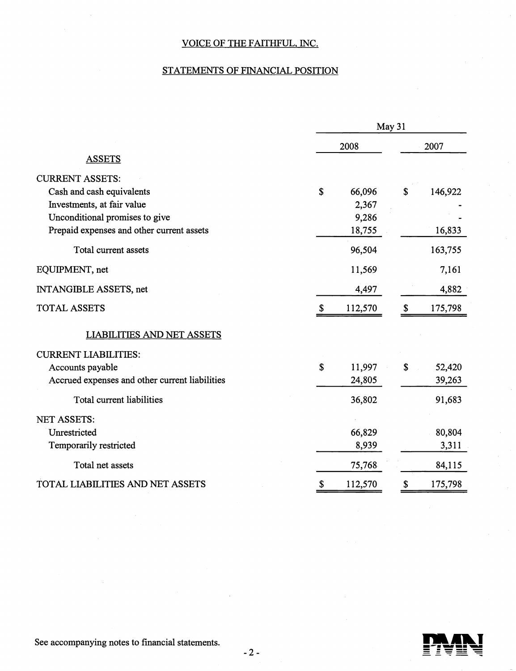# STATEMENTS OF FINANCIAL POSITION

|                                                |             |         | May 31       |         |
|------------------------------------------------|-------------|---------|--------------|---------|
|                                                |             | 2008    |              | 2007    |
| <b>ASSETS</b>                                  |             |         |              |         |
| <b>CURRENT ASSETS:</b>                         |             |         |              |         |
| Cash and cash equivalents                      | \$          | 66,096  | \$           | 146,922 |
| Investments, at fair value                     |             | 2,367   |              |         |
| Unconditional promises to give                 |             | 9,286   |              |         |
| Prepaid expenses and other current assets      |             | 18,755  |              | 16,833  |
| Total current assets                           |             | 96,504  |              | 163,755 |
| EQUIPMENT, net                                 |             | 11,569  |              | 7,161   |
| INTANGIBLE ASSETS, net                         |             | 4,497   |              | 4,882   |
| <b>TOTAL ASSETS</b>                            | \$          | 112,570 | \$           | 175,798 |
| <b>LIABILITIES AND NET ASSETS</b>              |             |         |              |         |
| <b>CURRENT LIABILITIES:</b>                    |             |         |              |         |
| Accounts payable                               | $\mathbf S$ | 11,997  | $\mathbb{S}$ | 52,420  |
| Accrued expenses and other current liabilities |             | 24,805  |              | 39,263  |
| Total current liabilities                      |             | 36,802  |              | 91,683  |
| NET ASSETS:                                    |             |         |              |         |
| Unrestricted                                   |             | 66,829  |              | 80,804  |
| Temporarily restricted                         |             | 8,939   |              | 3,311   |
| Total net assets                               |             | 75,768  |              | 84,115  |
| TOTAL LIABILITIES AND NET ASSETS               | \$          | 112,570 | \$           | 175,798 |



See accompanying notes to financial statements.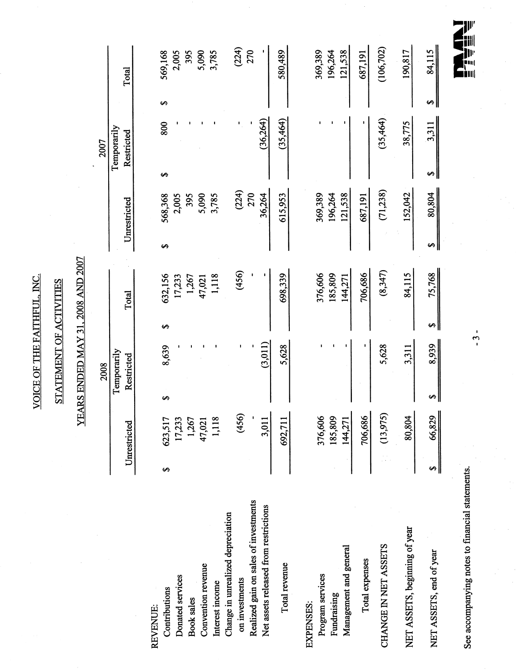VOICE OF THE FAITHFUL, INC. VOICE OF THE FAITHFUL. iNC.

# STATEMENT OF ACTIVITIES STATEMENT OF ACTIVITIES

# YEARS ENDED MAY 31, 2008 AND 2007 YEARS ENDED MAY 31. 2008 AND 2007

 $\ddot{\phantom{0}}$ 

|                                       |   |              |   | 2008        |    |         |   |              |   | 2007        |    |                |
|---------------------------------------|---|--------------|---|-------------|----|---------|---|--------------|---|-------------|----|----------------|
|                                       |   |              |   | Temporarily |    |         |   |              |   | Temporarily |    |                |
|                                       |   | Unrestricted |   | Restricted  |    | Total   |   | Unrestricted |   | Restricted  |    | Total          |
|                                       |   |              |   |             |    |         |   |              |   |             |    |                |
| REVENUE:                              |   |              |   |             |    |         |   |              |   |             |    |                |
| Contributions                         | ۄ | ↽<br>623,51  | S | 8,639       | ↮  | 632,156 | ↔ | 568,368      | ↔ | 800         | မာ | 569,168        |
| Donated services                      |   | 17,23        |   |             |    | 17,233  |   | 2,005        |   |             |    | 2,005          |
| <b>Book</b> sales                     |   | 1,267        |   |             |    | 1,267   |   | 395          |   |             |    | 395            |
| Convention revenue                    |   | 47,02        |   |             |    | 47,021  |   | 5,090        |   |             |    | 5,090<br>3,785 |
| Interest income                       |   | ∞<br>1,11    |   |             |    | 1,118   |   | 3,785        |   |             |    |                |
| Change in unrealized depreciation     |   |              |   |             |    |         |   |              |   |             |    |                |
| on investments                        |   | (456)        |   |             |    | (456)   |   | (224)        |   | ٠           |    | (224)          |
| Realized gain on sales of investments |   |              |   |             |    |         |   | 270          |   |             |    | 270            |
| Net assets released from restrictions |   | 3,01         |   | (3,011)     |    |         |   | 36,264       |   | (36,264)    |    |                |
| Total revenue                         |   | 692,71       |   | 5,628       |    | 698,339 |   | 615,953      |   | (35,464)    |    | 580,489        |
| EXPENSES:                             |   |              |   |             |    |         |   |              |   |             |    |                |
| Program services                      |   | 376,606      |   |             |    | 376,606 |   | 369,389      |   |             |    | 369,389        |
| Fundraising                           |   | 185,809      |   |             |    | 185,809 |   | 196,264      |   |             |    | 196,264        |
| Management and general                |   | 144,271      |   |             |    | 144,271 |   | 121,538      |   |             |    | 121,538        |
| Total expenses                        |   | 706,686      |   |             |    | 706,686 |   | 687,191      |   |             |    | 687,191        |
| CHANGE IN NET ASSETS                  |   | (13,975)     |   | 5,628       |    | (8,347) |   | (71,238)     |   | (35,464)    |    | (106, 702)     |
| NET ASSETS, beginning of year         |   | 80,804       |   | 3,311       |    | 84,115  |   | 152,042      |   | 38,775      |    | 190,817        |
| NET ASSETS, end of year               | s | 66,829       | ↮ | 8,939       | s, | 75,768  | ↮ | 80,804       | ↮ | 3,311       | ↮  | 84,115         |

 $\frac{1}{\sqrt{2}}$ 

See accompanying notes to financial statements.  $\frac{3}{-3}$ See accompanying notes to financial statements.

 $-3-$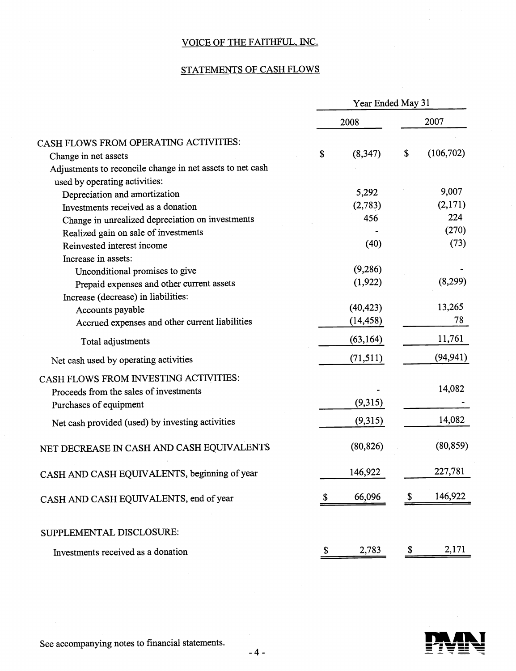# STATEMENTS OF CASH FLOWS

|                                                           |              | Year Ended May 31 |                 |
|-----------------------------------------------------------|--------------|-------------------|-----------------|
|                                                           |              | 2008              | 2007            |
| CASH FLOWS FROM OPERATING ACTIVITIES:                     |              |                   |                 |
| Change in net assets                                      | \$           | (8, 347)          | \$<br>(106,702) |
| Adjustments to reconcile change in net assets to net cash |              |                   |                 |
| used by operating activities:                             |              |                   |                 |
| Depreciation and amortization                             |              | 5,292             | 9,007           |
| Investments received as a donation                        |              | (2,783)           | (2,171)         |
| Change in unrealized depreciation on investments          |              | 456               | 224             |
| Realized gain on sale of investments                      |              |                   | (270)           |
| Reinvested interest income                                |              | (40)              | (73)            |
| Increase in assets:                                       |              |                   |                 |
| Unconditional promises to give                            |              | (9,286)           |                 |
| Prepaid expenses and other current assets                 |              | (1, 922)          | (8,299)         |
| Increase (decrease) in liabilities:                       |              |                   |                 |
| Accounts payable                                          |              | (40, 423)         | 13,265          |
| Accrued expenses and other current liabilities            |              | (14, 458)         | 78              |
| Total adjustments                                         |              | (63, 164)         | 11,761          |
| Net cash used by operating activities                     |              | (71, 511)         | (94, 941)       |
| CASH FLOWS FROM INVESTING ACTIVITIES:                     |              |                   |                 |
| Proceeds from the sales of investments                    |              |                   | 14,082          |
| Purchases of equipment                                    |              | (9,315)           |                 |
| Net cash provided (used) by investing activities          |              | (9,315)           | 14,082          |
| NET DECREASE IN CASH AND CASH EQUIVALENTS                 |              | (80, 826)         | (80, 859)       |
| CASH AND CASH EQUIVALENTS, beginning of year              |              | 146,922           | 227,781         |
| CASH AND CASH EQUIVALENTS, end of year                    |              | 66,096            | 146,922         |
| SUPPLEMENTAL DISCLOSURE:                                  |              |                   |                 |
| Investments received as a donation                        | $\mathbb{S}$ | 2,783             | \$<br>2,171     |
|                                                           |              |                   |                 |



See accompanying notes to financial statements.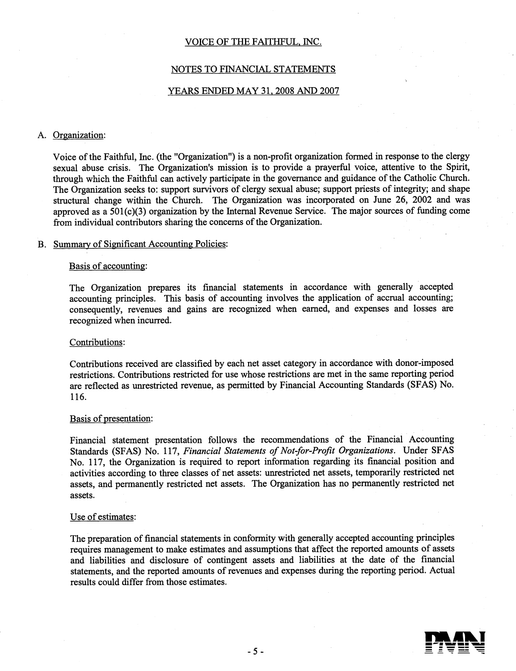#### NOTES TO FiNANCIAL STATEMENTS

#### YEARS ENDED MAY 31, 2008 AND 2007

#### A. Organization:

Voice of the Faithful, Inc. (the "Organization") is a non-profit organization formed in response to the clergy sexual abuse crisis. The Organization's mission is to provide a prayerful voice, attentive to the Spirit, through which the Faithful can actively participate in the governance and guidance of the Catholic Church. The Organization seeks to: support survivors of clergy sexual abuse; support priests of integrity; and shape structural change within the Church. The Organization was incorporated on June 26, 2002 and was approved as a  $501(c)(3)$  organization by the Internal Revenue Service. The major sources of funding come from individual contributors sharing the concerns of the Organization.

#### B. Summary of Significant Accounting Policies:

#### Basis of accounting:

The Organization prepares its financial statements in accordance with generally accepted accounting principles. This basis of accounting involves the application of accrual accounting; consequently, revenues and gains are recognized when earned, and expenses and losses are recognized when incurred.

#### Contributions:

Contributions received are classified by each net asset category in accordance with donor-imposed restrictions. Contributions restricted for use whose restrictions are met in the same reporting period are reflected as unrestricted revenue, as permitted by Financial Accounting Standards (SFAS) No. 116.

#### Basis of presentation:

Financial statement presentation follows the recommendations of the Financial Accounting Standards (SFAS) No. 117, Financial Statements of Not-for-Profit Organizations. Under SFAS No. 117, the Organization is required to report information regarding its financial position and activities according to three classes of net assets: unrestricted net assets, temporarily restricted net assets, and permanently restricted net assets. The Organization has no permanently restricted net assets.

#### Use of estimates:

The preparation of financial statements in conformity with generally accepted accounting principles requires management to make estimates and assumptions that affect the reported amounts of assets and liabilities and disclosure of contingent assets and liabilities at the date of the financial statements, and the reported amounts of revenues and expenses during the reporting period. Actual results could differ from those estimates.

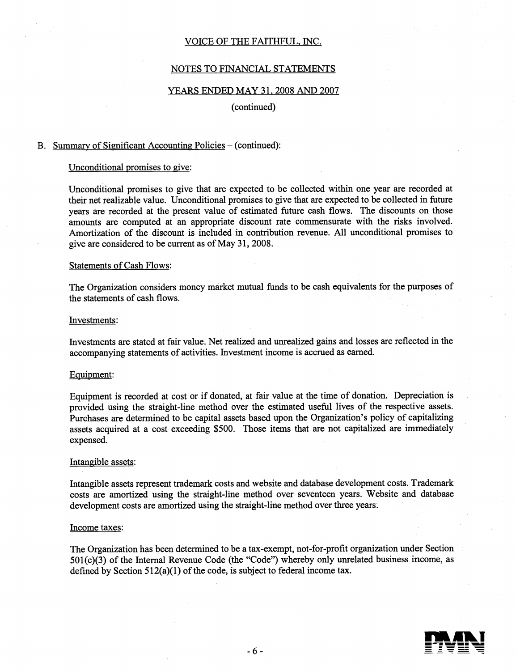#### NOTES TO FINANCIAL STATEMENTS

#### YEARS ENDED MAY 31, 2008 AND 2007

#### (continued)

#### B. Summary of Significant Accounting Policies — (continued):

#### Unconditional promises to give:

Unconditional promises to give that are expected to be collected within one year are recorded at their net realizable value. Unconditional promises to give that are expected to be collected in future years are recorded at the present value of estimated future cash flows. The discounts on those amounts are computed at an appropriate discount rate commensurate with the risks involved. Amortization of the discount is included in contribution revenue. All unconditional promises to give are considered to be current as of May 31, 2008.

#### Statements of Cash Flows:

The Organization considers money market mutual funds to be cash equivalents for the purposes of the statements of cash flows.

#### Investments:

Investments are stated at fair value. Net realized and unrealized gains and losses are reflected in the accompanying statements of activities. Investment income is accrued as earned.

#### Equipment:

Equipment is recorded at cost or if donated, at fair value at the time of donation. Depreciation is provided using the straight-line method over the estimated useful lives of the respective assets. Purchases are determined to be capital assets based upon the Organization's policy of capitalizing assets acquired at a cost exceeding \$500. Those items that are not capitalized are immediately expensed.

#### Intangible assets:

Intangible assets represent trademark costs and website and database development costs. Trademark costs are amortized using the straight-line method over seventeen years. Website and database development costs are amortized using the straight-line method over three years.

#### Income taxes:

The Organization has been determined to be a tax-exempt, not-for-profit organization under Section  $501(c)(3)$  of the Internal Revenue Code (the "Code") whereby only unrelated business income, as defined by Section  $512(a)(1)$  of the code, is subject to federal income tax.

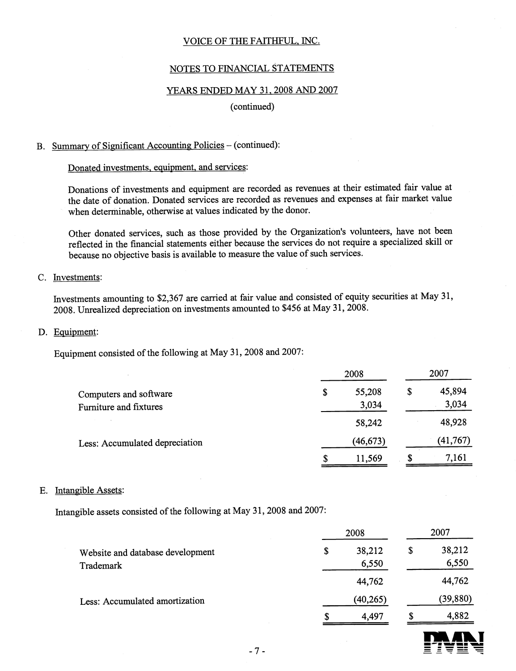#### NOTES TO FINANCIAL STATEMENTS

#### YEARS ENDED MAY 31. 2008 AND 2007

#### (continued)

#### B. Summary of Significant Accounting Policies — (continued):

#### Donated investments, equipment, and services:

Donations of investments and equipment are recorded as revenues at their estimated fair value at the date of donation. Donated services are recorded as revenues and expenses at fair market value when determinable, otherwise at values indicated by the donor.

Other donated services, such as those provided by the Organization's volunteers, have not been reflected in the financial statements either because the services do not require a specialized skill or because no objective basis is available to measure the value of such services.

#### C. Investments:

Investments amounting to \$2,367 are carried at fair value and consisted of equity securities at May 31, 2008. Unrealized depreciation on investments amounted to \$456 at May 31, 2008.

#### D. Equipment:

Equipment consisted of the following at May 31, 2008 and 2007:

|                                                                                    |    | 2008            |    | 2007            |
|------------------------------------------------------------------------------------|----|-----------------|----|-----------------|
| Computers and software<br>Furniture and fixtures<br>Less: Accumulated depreciation | \$ | 55,208<br>3,034 | \$ | 45,894<br>3,034 |
|                                                                                    |    | 58,242          |    | 48,928          |
|                                                                                    |    | (46, 673)       |    | (41, 767)       |
|                                                                                    | S  | 11,569          | S  | 7,161           |

#### E. Intangible Assets:

Intangible assets consisted of the following at May 31, 2008 and 2007:

|                                               | 2008                  |    | 2007            |
|-----------------------------------------------|-----------------------|----|-----------------|
| Website and database development<br>Trademark | 38,212<br>\$<br>6,550 | \$ | 38,212<br>6,550 |
|                                               | 44,762                |    | 44,762          |
| Less: Accumulated amortization                | (40, 265)             |    | (39, 880)       |
|                                               | 4,497<br>S            | S  | 4,882           |

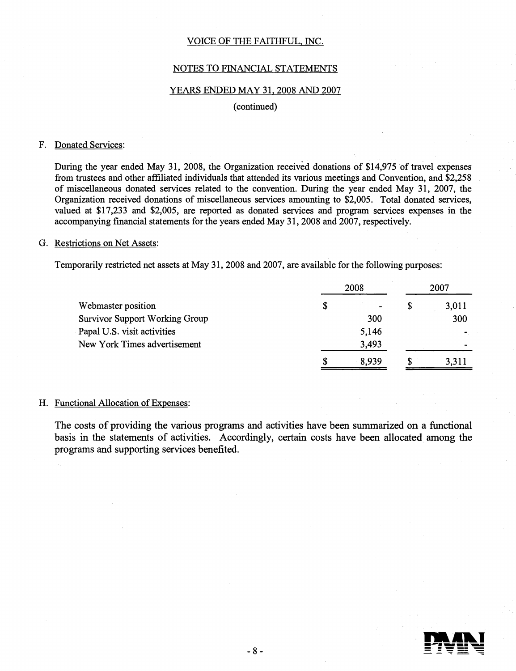#### NOTES TO FiNANCIAL STATEMENTS

#### YEARS ENDED MAY 31, 2008 AND 2007

#### (continued)

#### F. Donated Services:

During the year ended May 31, 2008, the Organization received donations of \$14,975 of travel expenses from trustees and other affiliated individuals that attended its various meetings and Convention, and \$2,258 of miscellaneous donated services related to the convention. During the year ended May 31, 2007, the Organization received donations of miscellaneous services amounting to \$2,005. Total donated services, valued at \$17,233 and \$2,005, are reported as donated services and program services expenses in the accompanying financial statements for the years ended May 31, 2008 and 2007, respectively.

#### G. Restrictions on Net Assets:

Temporarily restricted net assets at May 31, 2008 and 2007, are available for the following purposes:

|                                       |            | 2007  |   |                |  |  |
|---------------------------------------|------------|-------|---|----------------|--|--|
| Webmaster position                    |            |       | S | 3,011          |  |  |
| <b>Survivor Support Working Group</b> | 300<br>300 |       |   |                |  |  |
| Papal U.S. visit activities           |            | 5,146 |   | $\blacksquare$ |  |  |
| New York Times advertisement          |            | 3,493 |   |                |  |  |
|                                       |            | 8.939 | S | 3,311          |  |  |

#### H. Functional Allocation of Expenses

The costs of providing the various programs and activities have been summarized on a functional basis in the statements of activities. Accordingly, certain costs have been allocated among the programs and supporting services benefited.

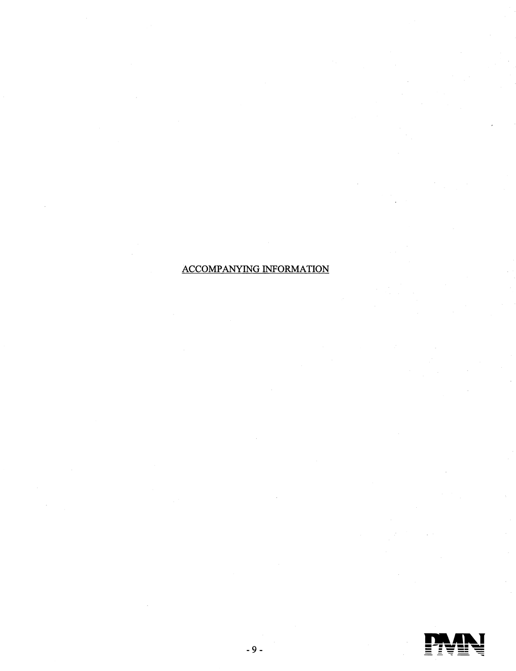# **ACCOMPANYING INFORMATION**